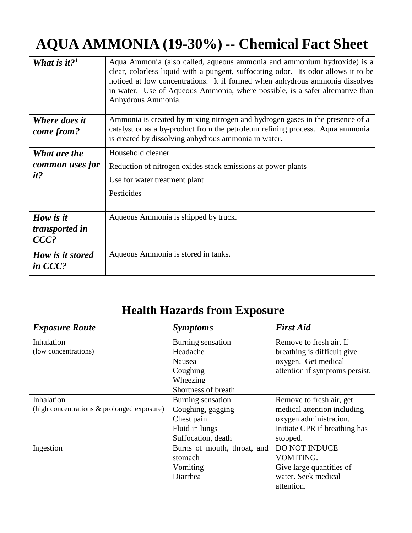## **AQUA AMMONIA (19-30%) -- Chemical Fact Sheet**

| What is it? <sup>1</sup>               | Aqua Ammonia (also called, aqueous ammonia and ammonium hydroxide) is a<br>clear, colorless liquid with a pungent, suffocating odor. Its odor allows it to be<br>noticed at low concentrations. It if formed when anhydrous ammonia dissolves<br>in water. Use of Aqueous Ammonia, where possible, is a safer alternative than<br>Anhydrous Ammonia. |
|----------------------------------------|------------------------------------------------------------------------------------------------------------------------------------------------------------------------------------------------------------------------------------------------------------------------------------------------------------------------------------------------------|
| Where does it<br>come from?            | Ammonia is created by mixing nitrogen and hydrogen gases in the presence of a<br>catalyst or as a by-product from the petroleum refining process. Aqua ammonia<br>is created by dissolving anhydrous ammonia in water.                                                                                                                               |
| What are the                           | Household cleaner                                                                                                                                                                                                                                                                                                                                    |
| common uses for                        | Reduction of nitrogen oxides stack emissions at power plants                                                                                                                                                                                                                                                                                         |
| it?                                    | Use for water treatment plant                                                                                                                                                                                                                                                                                                                        |
|                                        | Pesticides                                                                                                                                                                                                                                                                                                                                           |
| How is it<br>transported in<br>$CCC$ ? | Aqueous Ammonia is shipped by truck.                                                                                                                                                                                                                                                                                                                 |
| How is it stored<br>in CCC?            | Aqueous Ammonia is stored in tanks.                                                                                                                                                                                                                                                                                                                  |

## **Health Hazards from Exposure**

| <b>Exposure Route</b>                      | <i>Symptoms</i>             | <b>First Aid</b>               |
|--------------------------------------------|-----------------------------|--------------------------------|
| Inhalation                                 | Burning sensation           | Remove to fresh air. If        |
| (low concentrations)                       | Headache                    | breathing is difficult give    |
|                                            | Nausea                      | oxygen. Get medical            |
|                                            | Coughing                    | attention if symptoms persist. |
|                                            | Wheezing                    |                                |
|                                            | Shortness of breath         |                                |
| Inhalation                                 | Burning sensation           | Remove to fresh air, get       |
| (high concentrations & prolonged exposure) | Coughing, gagging           | medical attention including    |
|                                            | Chest pain                  | oxygen administration.         |
|                                            | Fluid in lungs              | Initiate CPR if breathing has  |
|                                            | Suffocation, death          | stopped.                       |
| Ingestion                                  | Burns of mouth, throat, and | <b>DO NOT INDUCE</b>           |
|                                            | stomach                     | VOMITING.                      |
|                                            | Vomiting                    | Give large quantities of       |
|                                            | Diarrhea                    | water. Seek medical            |
|                                            |                             | attention.                     |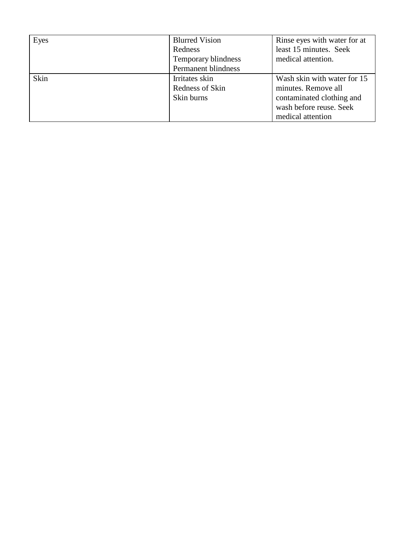| Eyes | <b>Blurred Vision</b> | Rinse eyes with water for at |
|------|-----------------------|------------------------------|
|      | Redness               | least 15 minutes. Seek       |
|      | Temporary blindness   | medical attention.           |
|      | Permanent blindness   |                              |
| Skin | Irritates skin        | Wash skin with water for 15  |
|      | Redness of Skin       | minutes. Remove all          |
|      | Skin burns            | contaminated clothing and    |
|      |                       | wash before reuse. Seek      |
|      |                       | medical attention            |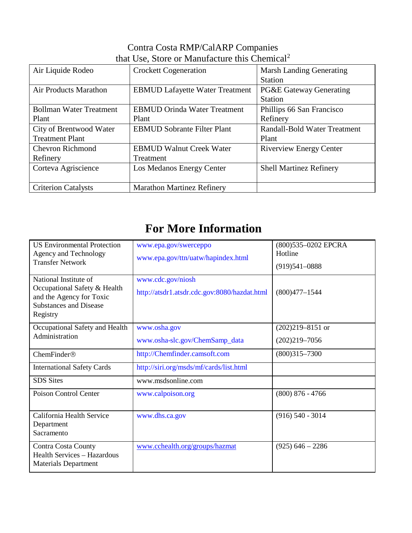## Contra Costa RMP/CalARP Companies that Use, Store or Manufacture this Chemical 2

| Air Liquide Rodeo              | <b>Crockett Cogeneration</b>           | <b>Marsh Landing Generating</b>    |
|--------------------------------|----------------------------------------|------------------------------------|
|                                |                                        | <b>Station</b>                     |
| <b>Air Products Marathon</b>   | <b>EBMUD Lafayette Water Treatment</b> | <b>PG&amp;E Gateway Generating</b> |
|                                |                                        | <b>Station</b>                     |
| <b>Bollman Water Treatment</b> | <b>EBMUD Orinda Water Treatment</b>    | Phillips 66 San Francisco          |
| Plant                          | Plant                                  | Refinery                           |
| City of Brentwood Water        | <b>EBMUD Sobrante Filter Plant</b>     | Randall-Bold Water Treatment       |
| <b>Treatment Plant</b>         |                                        | Plant                              |
| <b>Chevron Richmond</b>        | <b>EBMUD Walnut Creek Water</b>        | <b>Riverview Energy Center</b>     |
| Refinery                       | Treatment                              |                                    |
| Corteva Agriscience            | Los Medanos Energy Center              | <b>Shell Martinez Refinery</b>     |
|                                |                                        |                                    |
| <b>Criterion Catalysts</b>     | <b>Marathon Martinez Refinery</b>      |                                    |

## **For More Information**

| <b>US Environmental Protection</b><br>Agency and Technology<br><b>Transfer Network</b>                                         | www.epa.gov/swerceppo<br>www.epa.gov/ttn/uatw/hapindex.html       | (800)535-0202 EPCRA<br>Hotline<br>$(919)541 - 0888$ |
|--------------------------------------------------------------------------------------------------------------------------------|-------------------------------------------------------------------|-----------------------------------------------------|
| National Institute of<br>Occupational Safety & Health<br>and the Agency for Toxic<br><b>Substances and Disease</b><br>Registry | www.cdc.gov/niosh<br>http://atsdr1.atsdr.cdc.gov:8080/hazdat.html | $(800)477 - 1544$                                   |
| Occupational Safety and Health                                                                                                 | www.osha.gov                                                      | $(202)219 - 8151$ or                                |
| Administration                                                                                                                 | www.osha-slc.gov/ChemSamp_data                                    | $(202)219 - 7056$                                   |
| ChemFinder®                                                                                                                    | http://Chemfinder.camsoft.com                                     | $(800)315 - 7300$                                   |
| <b>International Safety Cards</b>                                                                                              | http://siri.org/msds/mf/cards/list.html                           |                                                     |
| <b>SDS</b> Sites                                                                                                               | www.msdsonline.com                                                |                                                     |
| Poison Control Center                                                                                                          | www.calpoison.org                                                 | $(800)$ 876 - 4766                                  |
| California Health Service<br>Department<br>Sacramento                                                                          | www.dhs.ca.gov                                                    | $(916) 540 - 3014$                                  |
| Contra Costa County<br><b>Health Services - Hazardous</b><br><b>Materials Department</b>                                       | www.cchealth.org/groups/hazmat                                    | $(925)$ 646 - 2286                                  |